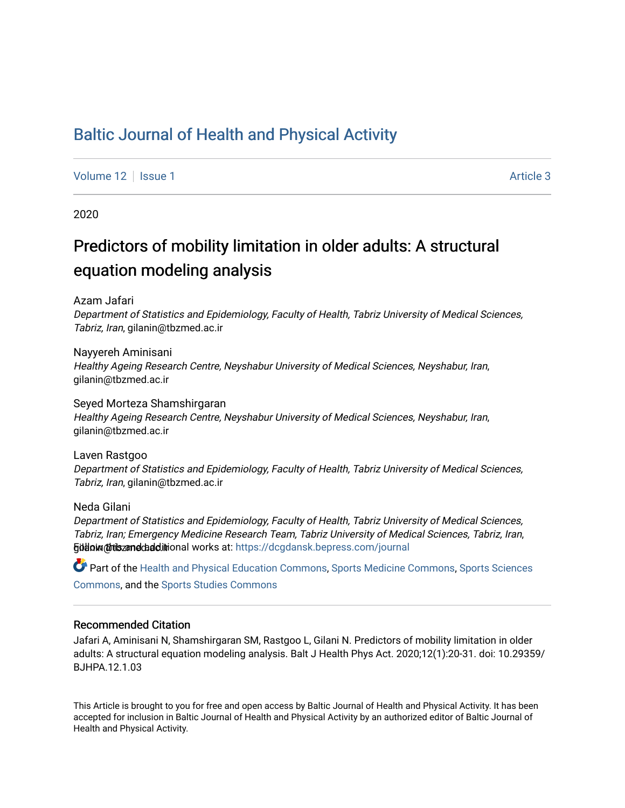# [Baltic Journal of Health and Physical Activity](https://dcgdansk.bepress.com/journal)

[Volume 12](https://dcgdansk.bepress.com/journal/vol12) | [Issue 1](https://dcgdansk.bepress.com/journal/vol12/iss1) Article 3

2020

# Predictors of mobility limitation in older adults: A structural equation modeling analysis

Azam Jafari

Department of Statistics and Epidemiology, Faculty of Health, Tabriz University of Medical Sciences, Tabriz, Iran, gilanin@tbzmed.ac.ir

Nayyereh Aminisani Healthy Ageing Research Centre, Neyshabur University of Medical Sciences, Neyshabur, Iran, gilanin@tbzmed.ac.ir

Seyed Morteza Shamshirgaran Healthy Ageing Research Centre, Neyshabur University of Medical Sciences, Neyshabur, Iran, gilanin@tbzmed.ac.ir

Laven Rastgoo Department of Statistics and Epidemiology, Faculty of Health, Tabriz University of Medical Sciences, Tabriz, Iran, gilanin@tbzmed.ac.ir

Neda Gilani

Department of Statistics and Epidemiology, Faculty of Health, Tabriz University of Medical Sciences, Tabriz, Iran; Emergency Medicine Research Team, Tabriz University of Medical Sciences, Tabriz, Iran, **Gülloim @tilszandchadditional works at: [https://dcgdansk.bepress.com/journal](https://dcgdansk.bepress.com/journal?utm_source=dcgdansk.bepress.com%2Fjournal%2Fvol12%2Fiss1%2F3&utm_medium=PDF&utm_campaign=PDFCoverPages)** 

Part of the [Health and Physical Education Commons](http://network.bepress.com/hgg/discipline/1327?utm_source=dcgdansk.bepress.com%2Fjournal%2Fvol12%2Fiss1%2F3&utm_medium=PDF&utm_campaign=PDFCoverPages), [Sports Medicine Commons,](http://network.bepress.com/hgg/discipline/1331?utm_source=dcgdansk.bepress.com%2Fjournal%2Fvol12%2Fiss1%2F3&utm_medium=PDF&utm_campaign=PDFCoverPages) [Sports Sciences](http://network.bepress.com/hgg/discipline/759?utm_source=dcgdansk.bepress.com%2Fjournal%2Fvol12%2Fiss1%2F3&utm_medium=PDF&utm_campaign=PDFCoverPages) [Commons](http://network.bepress.com/hgg/discipline/759?utm_source=dcgdansk.bepress.com%2Fjournal%2Fvol12%2Fiss1%2F3&utm_medium=PDF&utm_campaign=PDFCoverPages), and the [Sports Studies Commons](http://network.bepress.com/hgg/discipline/1198?utm_source=dcgdansk.bepress.com%2Fjournal%2Fvol12%2Fiss1%2F3&utm_medium=PDF&utm_campaign=PDFCoverPages) 

#### Recommended Citation

Jafari A, Aminisani N, Shamshirgaran SM, Rastgoo L, Gilani N. Predictors of mobility limitation in older adults: A structural equation modeling analysis. Balt J Health Phys Act. 2020;12(1):20-31. doi: 10.29359/ BJHPA.12.1.03

This Article is brought to you for free and open access by Baltic Journal of Health and Physical Activity. It has been accepted for inclusion in Baltic Journal of Health and Physical Activity by an authorized editor of Baltic Journal of Health and Physical Activity.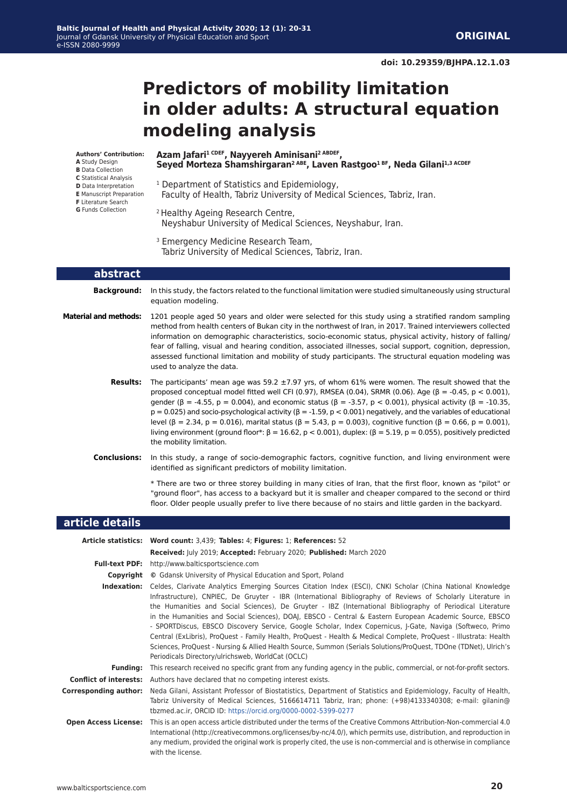# **Predictors of mobility limitation in older adults: A structural equation modeling analysis**

Seyed Morteza Shamshirgaran<sup>2 ABE</sup>, Laven Rastgoo<sup>1 BF</sup>, Neda Gilani<sup>1,3 ACDEF</sup>

#### **Authors' Contribution:**

- **A** Study Design
- **B** Data Collection
- **C** Statistical Analysis
- **D** Data Interpretation
- **E** Manuscript Preparation
- **F** Literature Search **G** Funds Collection
- <sup>1</sup> Department of Statistics and Epidemiology, Faculty of Health, Tabriz University of Medical Sciences, Tabriz, Iran.
- 2 Healthy Ageing Research Centre, Neyshabur University of Medical Sciences, Neyshabur, Iran.
- 3 Emergency Medicine Research Team, Tabriz University of Medical Sciences, Tabriz, Iran.

**Azam Jafari1 CDEF, Nayyereh Aminisani2 ABDEF,** 

#### **abstract**

**Background:** In this study, the factors related to the functional limitation were studied simultaneously using structural equation modeling.

**Material and methods:** 1201 people aged 50 years and older were selected for this study using a stratified random sampling method from health centers of Bukan city in the northwest of Iran, in 2017. Trained interviewers collected information on demographic characteristics, socio-economic status, physical activity, history of falling/ fear of falling, visual and hearing condition, associated illnesses, social support, cognition, depression, assessed functional limitation and mobility of study participants. The structural equation modeling was used to analyze the data.

> **Results:** The participants' mean age was 59.2 ±7.97 yrs, of whom 61% were women. The result showed that the proposed conceptual model fitted well CFI (0.97), RMSEA (0.04), SRMR (0.06). Age (β = -0.45, p < 0.001), gender (β = -4.55, p = 0.004), and economic status (β = -3.57, p < 0.001), physical activity (β = -10.35,  $p = 0.025$ ) and socio-psychological activity ( $\beta = -1.59$ ,  $p < 0.001$ ) negatively, and the variables of educational level (β = 2.34, p = 0.016), marital status (β = 5.43, p = 0.003), cognitive function (β = 0.66, p = 0.001), living environment (ground floor\*: β = 16.62, p < 0.001), duplex: (β = 5.19, p = 0.055), positively predicted the mobility limitation.

**Conclusions:** In this study, a range of socio-demographic factors, cognitive function, and living environment were identified as significant predictors of mobility limitation.

> \* There are two or three storey building in many cities of Iran, that the first floor, known as "pilot" or "ground floor", has access to a backyard but it is smaller and cheaper compared to the second or third floor. Older people usually prefer to live there because of no stairs and little garden in the backyard.

#### **article details**

|                               | Article statistics: Word count: 3,439; Tables: 4; Figures: 1; References: 52                                                                                                                                                                                                                                                                                                                                                                                                                                                                                                                                                                                                                                                                                                                                                                                  |
|-------------------------------|---------------------------------------------------------------------------------------------------------------------------------------------------------------------------------------------------------------------------------------------------------------------------------------------------------------------------------------------------------------------------------------------------------------------------------------------------------------------------------------------------------------------------------------------------------------------------------------------------------------------------------------------------------------------------------------------------------------------------------------------------------------------------------------------------------------------------------------------------------------|
|                               | Received: July 2019; Accepted: February 2020; Published: March 2020                                                                                                                                                                                                                                                                                                                                                                                                                                                                                                                                                                                                                                                                                                                                                                                           |
|                               | <b>Full-text PDF:</b> http://www.balticsportscience.com                                                                                                                                                                                                                                                                                                                                                                                                                                                                                                                                                                                                                                                                                                                                                                                                       |
| Copyright                     | © Gdansk University of Physical Education and Sport, Poland                                                                                                                                                                                                                                                                                                                                                                                                                                                                                                                                                                                                                                                                                                                                                                                                   |
| Indexation:                   | Celdes, Clarivate Analytics Emerging Sources Citation Index (ESCI), CNKI Scholar (China National Knowledge<br>Infrastructure), CNPIEC, De Gruyter - IBR (International Bibliography of Reviews of Scholarly Literature in<br>the Humanities and Social Sciences), De Gruyter - IBZ (International Bibliography of Periodical Literature<br>in the Humanities and Social Sciences), DOAJ, EBSCO - Central & Eastern European Academic Source, EBSCO<br>- SPORTDiscus, EBSCO Discovery Service, Google Scholar, Index Copernicus, J-Gate, Naviga (Softweco, Primo<br>Central (ExLibris), ProQuest - Family Health, ProQuest - Health & Medical Complete, ProQuest - Illustrata: Health<br>Sciences, ProQuest - Nursing & Allied Health Source, Summon (Serials Solutions/ProQuest, TDOne (TDNet), Ulrich's<br>Periodicals Directory/ulrichsweb, WorldCat (OCLC) |
| <b>Funding:</b>               | This research received no specific grant from any funding agency in the public, commercial, or not-for-profit sectors.                                                                                                                                                                                                                                                                                                                                                                                                                                                                                                                                                                                                                                                                                                                                        |
| <b>Conflict of interests:</b> | Authors have declared that no competing interest exists.                                                                                                                                                                                                                                                                                                                                                                                                                                                                                                                                                                                                                                                                                                                                                                                                      |
| Corresponding author:         | Neda Gilani, Assistant Professor of Biostatistics, Department of Statistics and Epidemiology, Faculty of Health,<br>Tabriz University of Medical Sciences, 5166614711 Tabriz, Iran; phone: (+98)4133340308; e-mail: gilanin@<br>tbzmed.ac.ir, ORCID ID: https://orcid.org/0000-0002-5399-0277                                                                                                                                                                                                                                                                                                                                                                                                                                                                                                                                                                 |
| <b>Open Access License:</b>   | This is an open access article distributed under the terms of the Creative Commons Attribution-Non-commercial 4.0<br>International (http://creativecommons.org/licenses/by-nc/4.0/), which permits use, distribution, and reproduction in<br>any medium, provided the original work is properly cited, the use is non-commercial and is otherwise in compliance<br>with the license.                                                                                                                                                                                                                                                                                                                                                                                                                                                                          |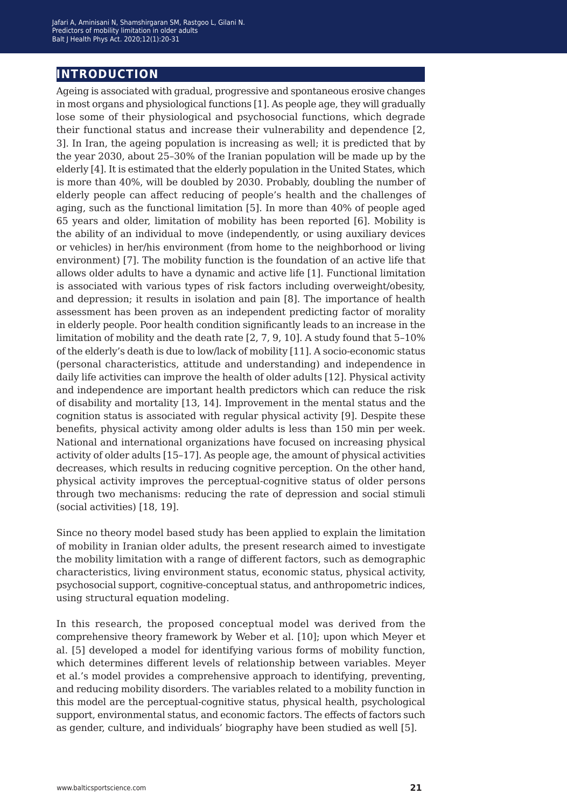# **introduction**

Ageing is associated with gradual, progressive and spontaneous erosive changes in most organs and physiological functions [1]. As people age, they will gradually lose some of their physiological and psychosocial functions, which degrade their functional status and increase their vulnerability and dependence [2, 3]. In Iran, the ageing population is increasing as well; it is predicted that by the year 2030, about 25–30% of the Iranian population will be made up by the elderly [4]. It is estimated that the elderly population in the United States, which is more than 40%, will be doubled by 2030. Probably, doubling the number of elderly people can affect reducing of people's health and the challenges of aging, such as the functional limitation [5]. In more than 40% of people aged 65 years and older, limitation of mobility has been reported [6]. Mobility is the ability of an individual to move (independently, or using auxiliary devices or vehicles) in her/his environment (from home to the neighborhood or living environment) [7]. The mobility function is the foundation of an active life that allows older adults to have a dynamic and active life [1]. Functional limitation is associated with various types of risk factors including overweight/obesity, and depression; it results in isolation and pain [8]. The importance of health assessment has been proven as an independent predicting factor of morality in elderly people. Poor health condition significantly leads to an increase in the limitation of mobility and the death rate [2, 7, 9, 10]. A study found that 5–10% of the elderly's death is due to low/lack of mobility [11]. A socio-economic status (personal characteristics, attitude and understanding) and independence in daily life activities can improve the health of older adults [12]. Physical activity and independence are important health predictors which can reduce the risk of disability and mortality [13, 14]. Improvement in the mental status and the cognition status is associated with regular physical activity [9]. Despite these benefits, physical activity among older adults is less than 150 min per week. National and international organizations have focused on increasing physical activity of older adults [15–17]. As people age, the amount of physical activities decreases, which results in reducing cognitive perception. On the other hand, physical activity improves the perceptual-cognitive status of older persons through two mechanisms: reducing the rate of depression and social stimuli (social activities) [18, 19].

Since no theory model based study has been applied to explain the limitation of mobility in Iranian older adults, the present research aimed to investigate the mobility limitation with a range of different factors, such as demographic characteristics, living environment status, economic status, physical activity, psychosocial support, cognitive-conceptual status, and anthropometric indices, using structural equation modeling.

In this research, the proposed conceptual model was derived from the comprehensive theory framework by Weber et al. [10]; upon which Meyer et al. [5] developed a model for identifying various forms of mobility function, which determines different levels of relationship between variables. Meyer et al.'s model provides a comprehensive approach to identifying, preventing, and reducing mobility disorders. The variables related to a mobility function in this model are the perceptual-cognitive status, physical health, psychological support, environmental status, and economic factors. The effects of factors such as gender, culture, and individuals' biography have been studied as well [5].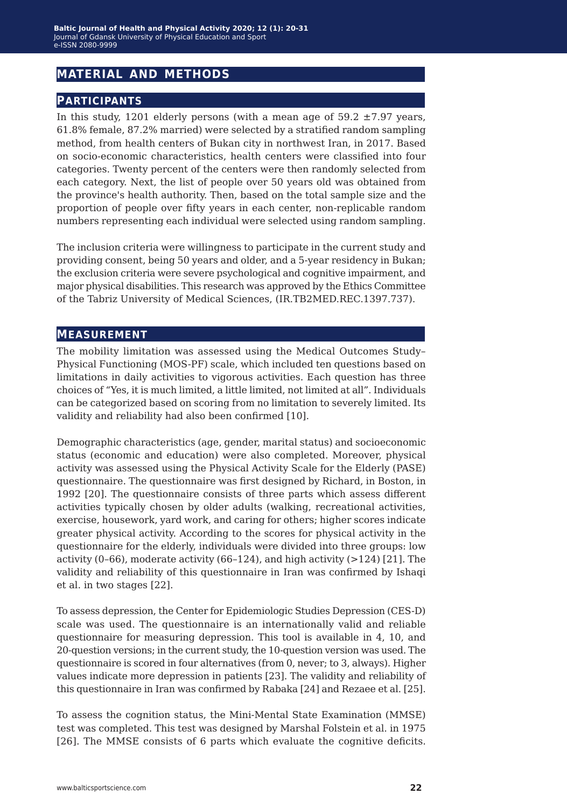## **material and methods**

#### **participants**

In this study, 1201 elderly persons (with a mean age of  $59.2 \pm 7.97$  years, 61.8% female, 87.2% married) were selected by a stratified random sampling method, from health centers of Bukan city in northwest Iran, in 2017. Based on socio-economic characteristics, health centers were classified into four categories. Twenty percent of the centers were then randomly selected from each category. Next, the list of people over 50 years old was obtained from the province's health authority. Then, based on the total sample size and the proportion of people over fifty years in each center, non-replicable random numbers representing each individual were selected using random sampling.

The inclusion criteria were willingness to participate in the current study and providing consent, being 50 years and older, and a 5-year residency in Bukan; the exclusion criteria were severe psychological and cognitive impairment, and major physical disabilities. This research was approved by the Ethics Committee of the Tabriz University of Medical Sciences, (IR.TB2MED.REC.1397.737).

#### **measurement**

The mobility limitation was assessed using the Medical Outcomes Study– Physical Functioning (MOS-PF) scale, which included ten questions based on limitations in daily activities to vigorous activities. Each question has three choices of "Yes, it is much limited, a little limited, not limited at all". Individuals can be categorized based on scoring from no limitation to severely limited. Its validity and reliability had also been confirmed [10].

Demographic characteristics (age, gender, marital status) and socioeconomic status (economic and education) were also completed. Moreover, physical activity was assessed using the Physical Activity Scale for the Elderly (PASE) questionnaire. The questionnaire was first designed by Richard, in Boston, in 1992 [20]. The questionnaire consists of three parts which assess different activities typically chosen by older adults (walking, recreational activities, exercise, housework, yard work, and caring for others; higher scores indicate greater physical activity. According to the scores for physical activity in the questionnaire for the elderly, individuals were divided into three groups: low activity  $(0-66)$ , moderate activity  $(66-124)$ , and high activity  $(>124)$  [21]. The validity and reliability of this questionnaire in Iran was confirmed by Ishaqi et al. in two stages [22].

To assess depression, the Center for Epidemiologic Studies Depression (CES-D) scale was used. The questionnaire is an internationally valid and reliable questionnaire for measuring depression. This tool is available in 4, 10, and 20-question versions; in the current study, the 10-question version was used. The questionnaire is scored in four alternatives (from 0, never; to 3, always). Higher values indicate more depression in patients [23]. The validity and reliability of this questionnaire in Iran was confirmed by Rabaka [24] and Rezaee et al. [25].

To assess the cognition status, the Mini-Mental State Examination (MMSE) test was completed. This test was designed by Marshal Folstein et al. in 1975 [26]. The MMSE consists of 6 parts which evaluate the cognitive deficits.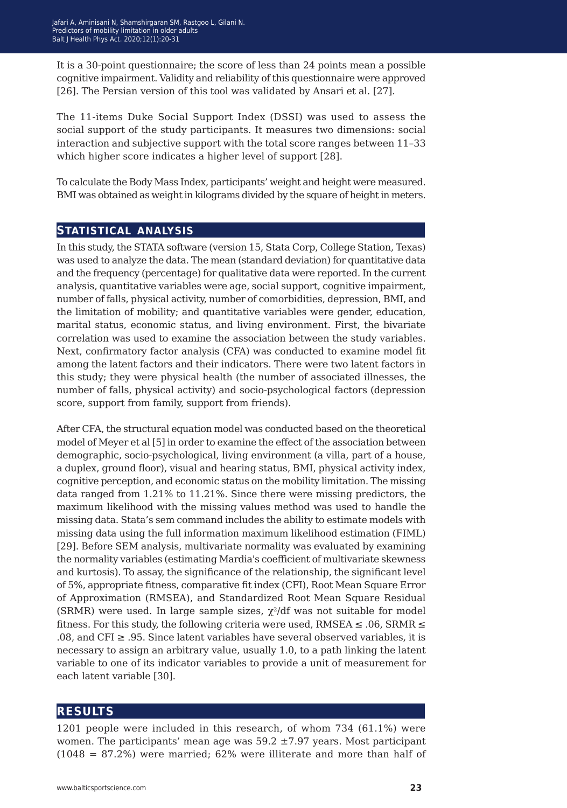It is a 30-point questionnaire; the score of less than 24 points mean a possible cognitive impairment. Validity and reliability of this questionnaire were approved [26]. The Persian version of this tool was validated by Ansari et al. [27].

The 11-items Duke Social Support Index (DSSI) was used to assess the social support of the study participants. It measures two dimensions: social interaction and subjective support with the total score ranges between 11–33 which higher score indicates a higher level of support [28].

To calculate the Body Mass Index, participants' weight and height were measured. BMI was obtained as weight in kilograms divided by the square of height in meters.

#### **statistical analysis**

In this study, the STATA software (version 15, Stata Corp, College Station, Texas) was used to analyze the data. The mean (standard deviation) for quantitative data and the frequency (percentage) for qualitative data were reported. In the current analysis, quantitative variables were age, social support, cognitive impairment, number of falls, physical activity, number of comorbidities, depression, BMI, and the limitation of mobility; and quantitative variables were gender, education, marital status, economic status, and living environment. First, the bivariate correlation was used to examine the association between the study variables. Next, confirmatory factor analysis (CFA) was conducted to examine model fit among the latent factors and their indicators. There were two latent factors in this study; they were physical health (the number of associated illnesses, the number of falls, physical activity) and socio-psychological factors (depression score, support from family, support from friends).

After CFA, the structural equation model was conducted based on the theoretical model of Meyer et al [5] in order to examine the effect of the association between demographic, socio-psychological, living environment (a villa, part of a house, a duplex, ground floor), visual and hearing status, BMI, physical activity index, cognitive perception, and economic status on the mobility limitation. The missing data ranged from 1.21% to 11.21%. Since there were missing predictors, the maximum likelihood with the missing values method was used to handle the missing data. Stata's sem command includes the ability to estimate models with missing data using the full information maximum likelihood estimation (FIML) [29]. Before SEM analysis, multivariate normality was evaluated by examining the normality variables (estimating Mardia's coefficient of multivariate skewness and kurtosis). To assay, the significance of the relationship, the significant level of 5%, appropriate fitness, comparative fit index (CFI), Root Mean Square Error of Approximation (RMSEA), and Standardized Root Mean Square Residual (SRMR) were used. In large sample sizes,  $\chi^2$ /df was not suitable for model fitness. For this study, the following criteria were used,  $RMSEA \leq .06$ ,  $SRMR \leq$ .08, and CFI  $\geq$  .95. Since latent variables have several observed variables, it is necessary to assign an arbitrary value, usually 1.0, to a path linking the latent variable to one of its indicator variables to provide a unit of measurement for each latent variable [30].

#### **results**

1201 people were included in this research, of whom 734 (61.1%) were women. The participants' mean age was 59.2 ±7.97 years. Most participant (1048 = 87.2%) were married; 62% were illiterate and more than half of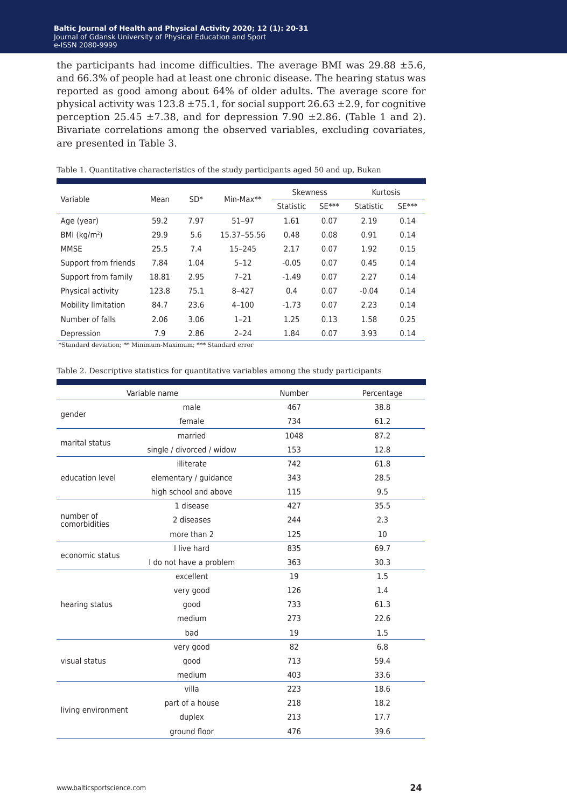#### **laltic Journal of Health and Physical Activity 2020; 12 (1): 20 Baltic Journal of Health and Physical Activity 2020; 12 (1): 20-31**<br>Journal of Gdansk University of Physical Education and Sport e-ISSN 2080-9999 e-ISSN 2080-9999Journal of Gdansk University of Physical Education and Sport

the participants had income difficulties. The average BMI was  $29.88 \pm 5.6$ , and 66.3% of people had at least one chronic disease. The hearing status was reported as good among about 64% of older adults. The average score for physical activity was  $123.8 \pm 75.1$ , for social support  $26.63 \pm 2.9$ , for cognitive perception 25.45  $\pm$ 7.38, and for depression 7.90  $\pm$ 2.86. (Table 1 and 2). Bivariate correlations among the observed variables, excluding covariates, are presented in Table 3.

| Variable             | Mean  | $SD*$ | $Min-Max**$ | <b>Skewness</b> |         | Kurtosis  |         |  |
|----------------------|-------|-------|-------------|-----------------|---------|-----------|---------|--|
|                      |       |       |             | Statistic       | $SE***$ | Statistic | $SE***$ |  |
| Age (year)           | 59.2  | 7.97  | $51 - 97$   | 1.61            | 0.07    | 2.19      | 0.14    |  |
| BMI $(kq/m2)$        | 29.9  | 5.6   | 15.37-55.56 | 0.48            | 0.08    | 0.91      | 0.14    |  |
| <b>MMSE</b>          | 25.5  | 7.4   | $15 - 245$  | 2.17            | 0.07    | 1.92      | 0.15    |  |
| Support from friends | 7.84  | 1.04  | $5 - 12$    | $-0.05$         | 0.07    | 0.45      | 0.14    |  |
| Support from family  | 18.81 | 2.95  | $7 - 21$    | $-1.49$         | 0.07    | 2.27      | 0.14    |  |
| Physical activity    | 123.8 | 75.1  | $8 - 427$   | 0.4             | 0.07    | $-0.04$   | 0.14    |  |
| Mobility limitation  | 84.7  | 23.6  | $4 - 100$   | $-1.73$         | 0.07    | 2.23      | 0.14    |  |
| Number of falls      | 2.06  | 3.06  | $1 - 21$    | 1.25            | 0.13    | 1.58      | 0.25    |  |
| Depression           | 7.9   | 2.86  | $2 - 24$    | 1.84            | 0.07    | 3.93      | 0.14    |  |

Table 1. Quantitative characteristics of the study participants aged 50 and up, Bukan

\*Standard deviation; \*\* Minimum-Maximum; \*\*\* Standard error

#### Table 2. Descriptive statistics for quantitative variables among the study participants

|                            | Variable name                                                                                                                                                   | Number | Percentage |
|----------------------------|-----------------------------------------------------------------------------------------------------------------------------------------------------------------|--------|------------|
|                            | male                                                                                                                                                            | 467    | 38.8       |
| gender                     | female                                                                                                                                                          | 734    | 61.2       |
| marital status             | married                                                                                                                                                         | 1048   | 87.2       |
|                            | single / divorced / widow                                                                                                                                       | 153    | 12.8       |
|                            | illiterate                                                                                                                                                      | 742    | 61.8       |
| education level            | elementary / guidance                                                                                                                                           | 343    | 28.5       |
|                            | high school and above                                                                                                                                           | 115    | 9.5        |
|                            | 1 disease                                                                                                                                                       | 427    | 35.5       |
| number of<br>comorbidities | 2 diseases                                                                                                                                                      | 244    | 2.3        |
|                            | more than 2                                                                                                                                                     | 125    | 10         |
| economic status            | I live hard                                                                                                                                                     | 835    | 69.7       |
|                            | I do not have a problem                                                                                                                                         | 363    | 30.3       |
|                            | excellent                                                                                                                                                       | 19     | 1.5        |
|                            | very good                                                                                                                                                       | 126    | 1.4        |
| hearing status             | good                                                                                                                                                            | 733    | 61.3       |
|                            | medium<br>273<br>19<br>bad<br>82<br>very good<br>713<br>good<br>403<br>medium<br>villa<br>223<br>part of a house<br>218<br>213<br>duplex<br>ground floor<br>476 | 22.6   |            |
|                            |                                                                                                                                                                 |        |            |
|                            |                                                                                                                                                                 |        | 6.8        |
| visual status              |                                                                                                                                                                 |        | 59.4       |
|                            |                                                                                                                                                                 |        | 33.6       |
|                            |                                                                                                                                                                 |        | 18.6       |
|                            |                                                                                                                                                                 |        | 18.2       |
| living environment         |                                                                                                                                                                 |        | 17.7       |
|                            |                                                                                                                                                                 |        | 39.6       |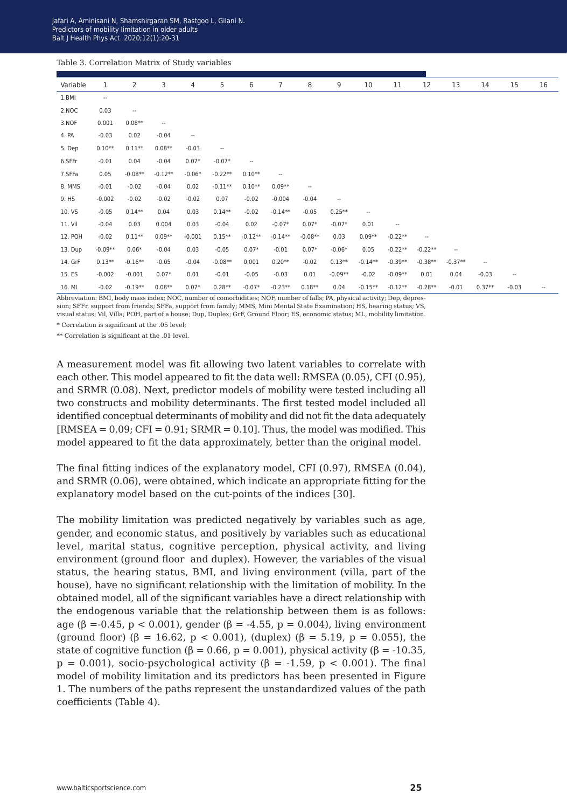| Table 3. Correlation Matrix of Study variables |                          |                          |                          |                          |           |                          |                          |           |                          |           |                          |                          |                          |                          |                          |    |
|------------------------------------------------|--------------------------|--------------------------|--------------------------|--------------------------|-----------|--------------------------|--------------------------|-----------|--------------------------|-----------|--------------------------|--------------------------|--------------------------|--------------------------|--------------------------|----|
| Variable                                       | 1                        | 2                        | 3                        | 4                        | 5         | 6                        | 7                        | 8         | 9                        | 10        | 11                       | 12                       | 13                       | 14                       | 15                       | 16 |
| 1.BMI                                          | $\overline{\phantom{a}}$ |                          |                          |                          |           |                          |                          |           |                          |           |                          |                          |                          |                          |                          |    |
| 2.NOC                                          | 0.03                     | $\overline{\phantom{a}}$ |                          |                          |           |                          |                          |           |                          |           |                          |                          |                          |                          |                          |    |
| 3.NOF                                          | 0.001                    | $0.08**$                 | $\overline{\phantom{a}}$ |                          |           |                          |                          |           |                          |           |                          |                          |                          |                          |                          |    |
| 4. PA                                          | $-0.03$                  | 0.02                     | $-0.04$                  | $\overline{\phantom{a}}$ |           |                          |                          |           |                          |           |                          |                          |                          |                          |                          |    |
| 5. Dep                                         | $0.10**$                 | $0.11**$                 | $0.08**$                 | $-0.03$                  | $\sim$    |                          |                          |           |                          |           |                          |                          |                          |                          |                          |    |
| 6.SFFr                                         | $-0.01$                  | 0.04                     | $-0.04$                  | $0.07*$                  | $-0.07*$  | $\overline{\phantom{a}}$ |                          |           |                          |           |                          |                          |                          |                          |                          |    |
| 7.SFFa                                         | 0.05                     | $-0.08**$                | $-0.12**$                | $-0.06*$                 | $-0.22**$ | $0.10**$                 | $\overline{\phantom{a}}$ |           |                          |           |                          |                          |                          |                          |                          |    |
| 8. MMS                                         | $-0.01$                  | $-0.02$                  | $-0.04$                  | 0.02                     | $-0.11**$ | $0.10**$                 | $0.09**$                 | $\sim$    |                          |           |                          |                          |                          |                          |                          |    |
| 9. HS                                          | $-0.002$                 | $-0.02$                  | $-0.02$                  | $-0.02$                  | 0.07      | $-0.02$                  | $-0.004$                 | $-0.04$   | $\overline{\phantom{a}}$ |           |                          |                          |                          |                          |                          |    |
| 10. VS                                         | $-0.05$                  | $0.14**$                 | 0.04                     | 0.03                     | $0.14**$  | $-0.02$                  | $-0.14**$                | $-0.05$   | $0.25**$                 | ۰.        |                          |                          |                          |                          |                          |    |
| 11. Vil                                        | $-0.04$                  | 0.03                     | 0.004                    | 0.03                     | $-0.04$   | 0.02                     | $-0.07*$                 | $0.07*$   | $-0.07*$                 | 0.01      | $\overline{\phantom{a}}$ |                          |                          |                          |                          |    |
| 12. POH                                        | $-0.02$                  | $0.11**$                 | $0.09**$                 | $-0.001$                 | $0.15**$  | $-0.12**$                | $-0.14**$                | $-0.08**$ | 0.03                     | $0.09**$  | $-0.22**$                | $\overline{\phantom{a}}$ |                          |                          |                          |    |
| 13. Dup                                        | $-0.09**$                | $0.06*$                  | $-0.04$                  | 0.03                     | $-0.05$   | $0.07*$                  | $-0.01$                  | $0.07*$   | $-0.06*$                 | 0.05      | $-0.22**$                | $-0.22**$                | $\overline{\phantom{a}}$ |                          |                          |    |
| 14. GrF                                        | $0.13**$                 | $-0.16**$                | $-0.05$                  | $-0.04$                  | $-0.08**$ | 0.001                    | $0.20**$                 | $-0.02$   | $0.13**$                 | $-0.14**$ | $-0.39**$                | $-0.38**$                | $-0.37**$                | $\overline{\phantom{a}}$ |                          |    |
| 15. ES                                         | $-0.002$                 | $-0.001$                 | $0.07*$                  | 0.01                     | $-0.01$   | $-0.05$                  | $-0.03$                  | 0.01      | $-0.09**$                | $-0.02$   | $-0.09**$                | 0.01                     | 0.04                     | $-0.03$                  | $\overline{\phantom{a}}$ |    |
| 16. ML                                         | $-0.02$                  | $-0.19**$                | $0.08**$                 | $0.07*$                  | $0.28**$  | $-0.07*$                 | $-0.23**$                | $0.18**$  | 0.04                     | $-0.15**$ | $-0.12**$                | $-0.28**$                | $-0.01$                  | $0.37**$                 | $-0.03$                  | -- |

Abbreviation: BMI, body mass index; NOC, number of comorbidities; NOF, number of falls; PA, physical activity; Dep, depression; SFFr, support from friends; SFFa, support from family; MMS, Mini Mental State Examination; HS, hearing status; VS, visual status; Vil, Villa; POH, part of a house; Dup, Duplex; GrF, Ground Floor; ES, economic status; ML, mobility limitation.

\* Correlation is significant at the .05 level;

\*\* Correlation is significant at the .01 level.

A measurement model was fit allowing two latent variables to correlate with each other. This model appeared to fit the data well: RMSEA (0.05), CFI (0.95), and SRMR (0.08). Next, predictor models of mobility were tested including all two constructs and mobility determinants. The first tested model included all identified conceptual determinants of mobility and did not fit the data adequately  $[RMSEA = 0.09; CFI = 0.91; SRMR = 0.10]$ . Thus, the model was modified. This model appeared to fit the data approximately, better than the original model.

The final fitting indices of the explanatory model, CFI (0.97), RMSEA (0.04), and SRMR (0.06), were obtained, which indicate an appropriate fitting for the explanatory model based on the cut-points of the indices [30].

The mobility limitation was predicted negatively by variables such as age, gender, and economic status, and positively by variables such as educational level, marital status, cognitive perception, physical activity, and living environment (ground floor and duplex). However, the variables of the visual status, the hearing status, BMI, and living environment (villa, part of the house), have no significant relationship with the limitation of mobility. In the obtained model, all of the significant variables have a direct relationship with the endogenous variable that the relationship between them is as follows: age (β = -0.45, p < 0.001), gender (β = -4.55, p = 0.004), living environment (ground floor) (β = 16.62, p < 0.001), (duplex) (β = 5.19, p = 0.055), the state of cognitive function ( $\beta = 0.66$ ,  $p = 0.001$ ), physical activity ( $\beta = -10.35$ ,  $p = 0.001$ , socio-psychological activity ( $\beta = -1.59$ ,  $p < 0.001$ ). The final model of mobility limitation and its predictors has been presented in Figure 1. The numbers of the paths represent the unstandardized values of the path coefficients (Table 4).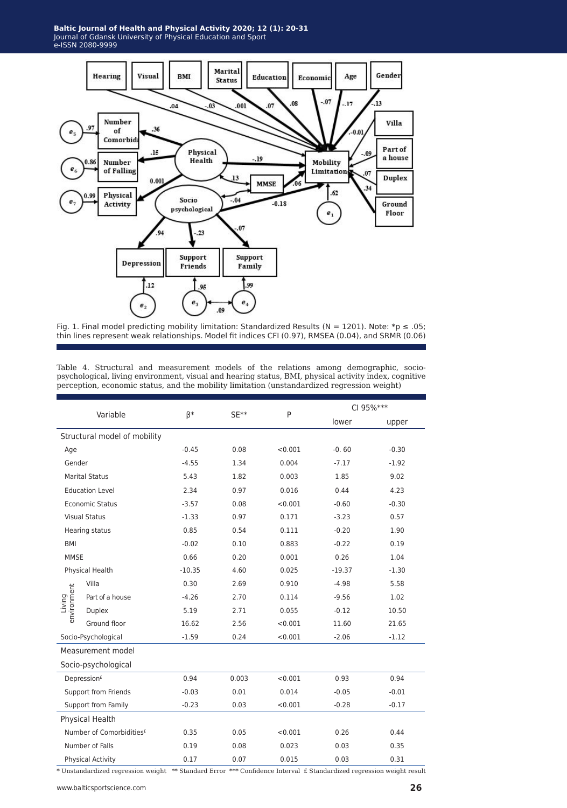

Fig. 1. Final model predicting mobility limitation: Standardized Results (N = 1201). Note: \*p  $\leq .05$ ; thin lines represent weak relationships. Model fit indices CFI (0.97), RMSEA (0.04), and SRMR (0.06)

Table 4. Structural and measurement models of the relations among demographic, sociopsychological, living environment, visual and hearing status, BMI, physical activity index, cognitive perception, economic status, and the mobility limitation (unstandardized regression weight)

| Variable                   |                                      |          |                 |         | CI 95% *** |         |  |
|----------------------------|--------------------------------------|----------|-----------------|---------|------------|---------|--|
|                            |                                      | β*       | SE**            | P       | lower      | upper   |  |
|                            | Structural model of mobility         |          |                 |         |            |         |  |
| Age                        |                                      | $-0.45$  | 0.08<br>< 0.001 |         | $-0.60$    | $-0.30$ |  |
| Gender                     |                                      | $-4.55$  | 1.34            | 0.004   | $-7.17$    | $-1.92$ |  |
|                            | <b>Marital Status</b>                | 5.43     | 1.82            | 0.003   | 1.85       | 9.02    |  |
|                            | <b>Education Level</b>               | 2.34     | 0.97            | 0.016   | 0.44       | 4.23    |  |
|                            | <b>Economic Status</b>               | $-3.57$  | 0.08            | < 0.001 | $-0.60$    | $-0.30$ |  |
|                            | <b>Visual Status</b>                 | $-1.33$  | 0.97            | 0.171   | $-3.23$    | 0.57    |  |
|                            | Hearing status                       | 0.85     | 0.54            | 0.111   | $-0.20$    | 1.90    |  |
| <b>BMI</b>                 |                                      | $-0.02$  | 0.10            | 0.883   | $-0.22$    | 0.19    |  |
| <b>MMSE</b>                |                                      | 0.66     | 0.20            | 0.001   | 0.26       | 1.04    |  |
|                            | Physical Health                      | $-10.35$ | 4.60            | 0.025   | $-19.37$   | $-1.30$ |  |
|                            | Villa                                | 0.30     | 2.69            | 0.910   | $-4.98$    | 5.58    |  |
| environment<br>Living      | Part of a house                      | $-4.26$  | 2.70            | 0.114   | $-9.56$    | 1.02    |  |
|                            | Duplex                               | 5.19     | 2.71            | 0.055   | $-0.12$    | 10.50   |  |
|                            | Ground floor                         | 16.62    | 2.56            | < 0.001 | 11.60      | 21.65   |  |
| Socio-Psychological        |                                      | $-1.59$  | 0.24            | < 0.001 | $-2.06$    | $-1.12$ |  |
| Measurement model          |                                      |          |                 |         |            |         |  |
|                            | Socio-psychological                  |          |                 |         |            |         |  |
|                            | Depression <sup>£</sup>              | 0.94     | 0.003           | < 0.001 | 0.93       | 0.94    |  |
|                            | Support from Friends                 | $-0.03$  | 0.01            | 0.014   | $-0.05$    | $-0.01$ |  |
| <b>Support from Family</b> |                                      | $-0.23$  | 0.03            | < 0.001 | $-0.28$    | $-0.17$ |  |
|                            | Physical Health                      |          |                 |         |            |         |  |
|                            | Number of Comorbidities <sup>£</sup> | 0.35     | 0.05            | < 0.001 | 0.26       | 0.44    |  |
|                            | Number of Falls                      | 0.19     | 0.08            | 0.023   | 0.03       | 0.35    |  |
| <b>Physical Activity</b>   |                                      | 0.17     | 0.07            | 0.015   | 0.03       | 0.31    |  |

\* Unstandardized regression weight \*\* Standard Error \*\*\* Confidence Interval £ Standardized regression weight result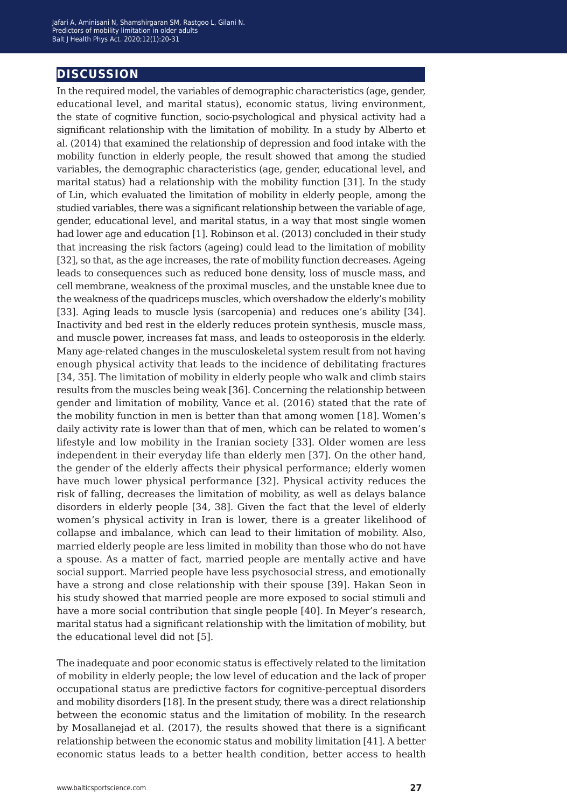### **discussion**

In the required model, the variables of demographic characteristics (age, gender, educational level, and marital status), economic status, living environment, the state of cognitive function, socio-psychological and physical activity had a significant relationship with the limitation of mobility. In a study by Alberto et al. (2014) that examined the relationship of depression and food intake with the mobility function in elderly people, the result showed that among the studied variables, the demographic characteristics (age, gender, educational level, and marital status) had a relationship with the mobility function [31]. In the study of Lin, which evaluated the limitation of mobility in elderly people, among the studied variables, there was a significant relationship between the variable of age, gender, educational level, and marital status, in a way that most single women had lower age and education [1]. Robinson et al. (2013) concluded in their study that increasing the risk factors (ageing) could lead to the limitation of mobility [32], so that, as the age increases, the rate of mobility function decreases. Ageing leads to consequences such as reduced bone density, loss of muscle mass, and cell membrane, weakness of the proximal muscles, and the unstable knee due to the weakness of the quadriceps muscles, which overshadow the elderly's mobility [33]. Aging leads to muscle lysis (sarcopenia) and reduces one's ability [34]. Inactivity and bed rest in the elderly reduces protein synthesis, muscle mass, and muscle power, increases fat mass, and leads to osteoporosis in the elderly. Many age-related changes in the musculoskeletal system result from not having enough physical activity that leads to the incidence of debilitating fractures [34, 35]. The limitation of mobility in elderly people who walk and climb stairs results from the muscles being weak [36]. Concerning the relationship between gender and limitation of mobility, Vance et al. (2016) stated that the rate of the mobility function in men is better than that among women [18]. Women's daily activity rate is lower than that of men, which can be related to women's lifestyle and low mobility in the Iranian society [33]. Older women are less independent in their everyday life than elderly men [37]. On the other hand, the gender of the elderly affects their physical performance; elderly women have much lower physical performance [32]. Physical activity reduces the risk of falling, decreases the limitation of mobility, as well as delays balance disorders in elderly people [34, 38]. Given the fact that the level of elderly women's physical activity in Iran is lower, there is a greater likelihood of collapse and imbalance, which can lead to their limitation of mobility. Also, married elderly people are less limited in mobility than those who do not have a spouse. As a matter of fact, married people are mentally active and have social support. Married people have less psychosocial stress, and emotionally have a strong and close relationship with their spouse [39]. Hakan Seon in his study showed that married people are more exposed to social stimuli and have a more social contribution that single people [40]. In Meyer's research, marital status had a significant relationship with the limitation of mobility, but the educational level did not [5].

The inadequate and poor economic status is effectively related to the limitation of mobility in elderly people; the low level of education and the lack of proper occupational status are predictive factors for cognitive-perceptual disorders and mobility disorders [18]. In the present study, there was a direct relationship between the economic status and the limitation of mobility. In the research by Mosallanejad et al. (2017), the results showed that there is a significant relationship between the economic status and mobility limitation [41]. A better economic status leads to a better health condition, better access to health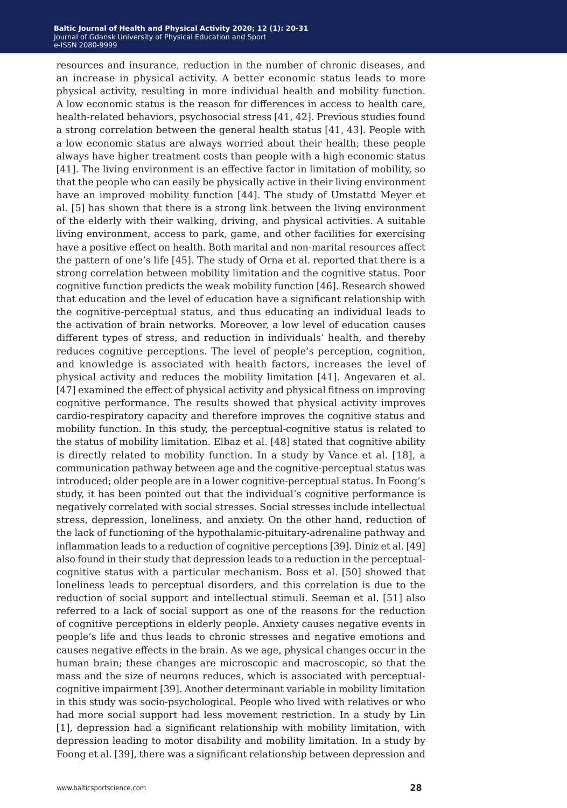resources and insurance, reduction in the number of chronic diseases, and an increase in physical activity. A better economic status leads to more physical activity, resulting in more individual health and mobility function. A low economic status is the reason for differences in access to health care, health-related behaviors, psychosocial stress [41, 42]. Previous studies found a strong correlation between the general health status [41, 43]. People with a low economic status are always worried about their health; these people always have higher treatment costs than people with a high economic status [41]. The living environment is an effective factor in limitation of mobility, so that the people who can easily be physically active in their living environment have an improved mobility function [44]. The study of Umstattd Meyer et al. [5] has shown that there is a strong link between the living environment of the elderly with their walking, driving, and physical activities. A suitable living environment, access to park, game, and other facilities for exercising have a positive effect on health. Both marital and non-marital resources affect the pattern of one's life [45]. The study of Orna et al. reported that there is a strong correlation between mobility limitation and the cognitive status. Poor cognitive function predicts the weak mobility function [46]. Research showed that education and the level of education have a significant relationship with the cognitive-perceptual status, and thus educating an individual leads to the activation of brain networks. Moreover, a low level of education causes different types of stress, and reduction in individuals' health, and thereby reduces cognitive perceptions. The level of people's perception, cognition, and knowledge is associated with health factors, increases the level of physical activity and reduces the mobility limitation [41]. Angevaren et al. [47] examined the effect of physical activity and physical fitness on improving cognitive performance. The results showed that physical activity improves cardio-respiratory capacity and therefore improves the cognitive status and mobility function. In this study, the perceptual-cognitive status is related to the status of mobility limitation. Elbaz et al. [48] stated that cognitive ability is directly related to mobility function. In a study by Vance et al. [18], a communication pathway between age and the cognitive-perceptual status was introduced; older people are in a lower cognitive-perceptual status. In Foong's study, it has been pointed out that the individual's cognitive performance is negatively correlated with social stresses. Social stresses include intellectual stress, depression, loneliness, and anxiety. On the other hand, reduction of the lack of functioning of the hypothalamic-pituitary-adrenaline pathway and inflammation leads to a reduction of cognitive perceptions [39]. Diniz et al. [49] also found in their study that depression leads to a reduction in the perceptualcognitive status with a particular mechanism. Boss et al. [50] showed that loneliness leads to perceptual disorders, and this correlation is due to the reduction of social support and intellectual stimuli. Seeman et al. [51] also referred to a lack of social support as one of the reasons for the reduction of cognitive perceptions in elderly people. Anxiety causes negative events in people's life and thus leads to chronic stresses and negative emotions and causes negative effects in the brain. As we age, physical changes occur in the human brain; these changes are microscopic and macroscopic, so that the mass and the size of neurons reduces, which is associated with perceptualcognitive impairment [39]. Another determinant variable in mobility limitation in this study was socio-psychological. People who lived with relatives or who had more social support had less movement restriction. In a study by Lin [1], depression had a significant relationship with mobility limitation, with depression leading to motor disability and mobility limitation. In a study by Foong et al. [39], there was a significant relationship between depression and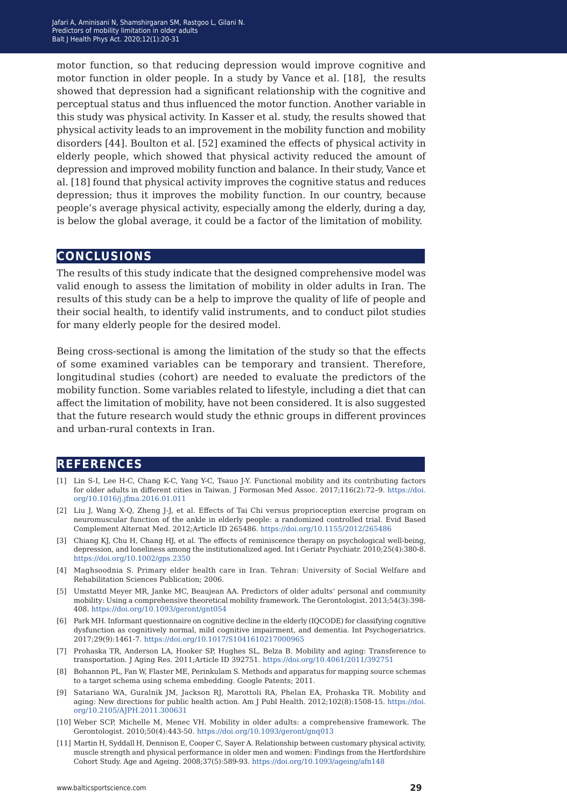motor function, so that reducing depression would improve cognitive and motor function in older people. In a study by Vance et al. [18], the results showed that depression had a significant relationship with the cognitive and perceptual status and thus influenced the motor function. Another variable in this study was physical activity. In Kasser et al. study, the results showed that physical activity leads to an improvement in the mobility function and mobility disorders [44]. Boulton et al. [52] examined the effects of physical activity in elderly people, which showed that physical activity reduced the amount of depression and improved mobility function and balance. In their study, Vance et al. [18] found that physical activity improves the cognitive status and reduces depression; thus it improves the mobility function. In our country, because people's average physical activity, especially among the elderly, during a day, is below the global average, it could be a factor of the limitation of mobility.

### **conclusions**

The results of this study indicate that the designed comprehensive model was valid enough to assess the limitation of mobility in older adults in Iran. The results of this study can be a help to improve the quality of life of people and their social health, to identify valid instruments, and to conduct pilot studies for many elderly people for the desired model.

Being cross-sectional is among the limitation of the study so that the effects of some examined variables can be temporary and transient. Therefore, longitudinal studies (cohort) are needed to evaluate the predictors of the mobility function. Some variables related to lifestyle, including a diet that can affect the limitation of mobility, have not been considered. It is also suggested that the future research would study the ethnic groups in different provinces and urban-rural contexts in Iran.

### **references**

- [1] Lin S-I, Lee H-C, Chang K-C, Yang Y-C, Tsauo J-Y. Functional mobility and its contributing factors for older adults in different cities in Taiwan. J Formosan Med Assoc. 2017;116(2):72–9. [https://doi.](https://doi.org/10.1016/j.jfma.2016.01.011) [org/10.1016/j.jfma.2016.01.011](https://doi.org/10.1016/j.jfma.2016.01.011)
- [2] Liu J, Wang X-Q, Zheng J-J, et al. Effects of Tai Chi versus proprioception exercise program on neuromuscular function of the ankle in elderly people: a randomized controlled trial. Evid Based Complement Alternat Med. 2012;Article ID 265486. <https://doi.org/10.1155/2012/265486>
- [3] Chiang KJ, Chu H, Chang HJ, et al. The effects of reminiscence therapy on psychological well-being, depression, and loneliness among the institutionalized aged. Int i Geriatr Psychiatr. 2010;25(4):380-8. <https://doi.org/10.1002/gps.2350>
- [4] Maghsoodnia S. Primary elder health care in Iran. Tehran: University of Social Welfare and Rehabilitation Sciences Publication; 2006.
- [5] Umstattd Meyer MR, Janke MC, Beaujean AA. Predictors of older adults' personal and community mobility: Using a comprehensive theoretical mobility framework. The Gerontologist. 2013;54(3):398- 408. <https://doi.org/10.1093/geront/gnt054>
- [6] Park MH. Informant questionnaire on cognitive decline in the elderly (IQCODE) for classifying cognitive dysfunction as cognitively normal, mild cognitive impairment, and dementia. Int Psychogeriatrics. 2017;29(9):1461-7. <https://doi.org/10.1017/S1041610217000965>
- [7] Prohaska TR, Anderson LA, Hooker SP, Hughes SL, Belza B. Mobility and aging: Transference to transportation. J Aging Res. 2011;Article ID 392751. <https://doi.org/10.4061/2011/392751>
- [8] Bohannon PL, Fan W, Flaster ME, Perinkulam S. Methods and apparatus for mapping source schemas to a target schema using schema embedding. Google Patents; 2011.
- [9] Satariano WA, Guralnik JM, Jackson RJ, Marottoli RA, Phelan EA, Prohaska TR. Mobility and aging: New directions for public health action. Am J Publ Health. 2012;102(8):1508-15. [https://doi.](https://doi.org/10.2105/AJPH.2011.300631) [org/10.2105/AJPH.2011.300631](https://doi.org/10.2105/AJPH.2011.300631)
- [10] Weber SCP, Michelle M, Menec VH. Mobility in older adults: a comprehensive framework. The Gerontologist. 2010;50(4):443-50. <https://doi.org/10.1093/geront/gnq013>
- [11] Martin H, Syddall H, Dennison E, Cooper C, Sayer A. Relationship between customary physical activity, muscle strength and physical performance in older men and women: Findings from the Hertfordshire Cohort Study. Age and Ageing. 2008;37(5):589-93. <https://doi.org/10.1093/ageing/afn148>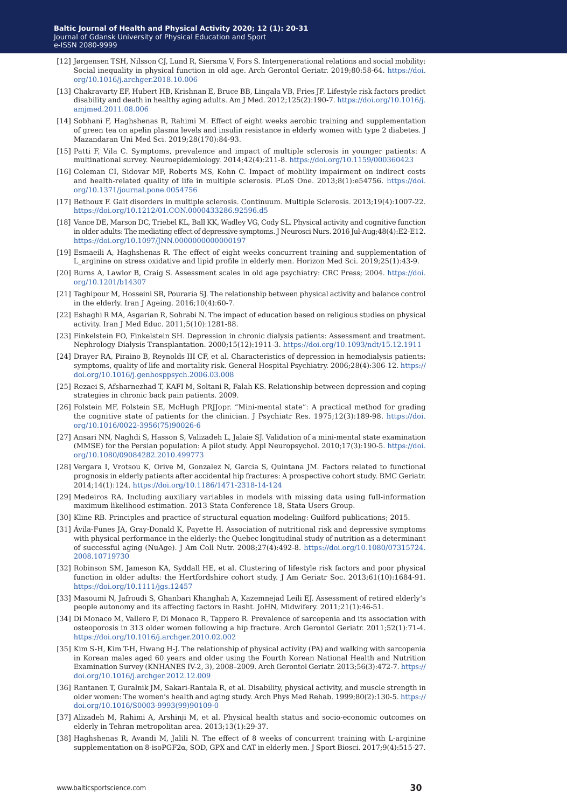- [12] Jørgensen TSH, Nilsson CJ, Lund R, Siersma V, Fors S. Intergenerational relations and social mobility: Social inequality in physical function in old age. Arch Gerontol Geriatr. 2019;80:58-64. [https://doi.](https://doi.org/10.1016/j.archger.2018.10.006) [org/10.1016/j.archger.2018.10.006](https://doi.org/10.1016/j.archger.2018.10.006)
- [13] Chakravarty EF, Hubert HB, Krishnan E, Bruce BB, Lingala VB, Fries JF. Lifestyle risk factors predict disability and death in healthy aging adults. Am J Med. 2012;125(2):190-7. [https://doi.org/10.1016/j.](https://doi.org/10.1016/j.amjmed.2011.08.006) [amjmed.2011.08.006](https://doi.org/10.1016/j.amjmed.2011.08.006)
- [14] Sobhani F, Haghshenas R, Rahimi M. Effect of eight weeks aerobic training and supplementation of green tea on apelin plasma levels and insulin resistance in elderly women with type 2 diabetes. J Mazandaran Uni Med Sci. 2019;28(170):84-93.
- [15] Patti F, Vila C. Symptoms, prevalence and impact of multiple sclerosis in younger patients: A multinational survey. Neuroepidemiology. 2014;42(4):211-8. <https://doi.org/10.1159/000360423>
- [16] Coleman CI, Sidovar MF, Roberts MS, Kohn C. Impact of mobility impairment on indirect costs and health-related quality of life in multiple sclerosis. PLoS One. 2013;8(1):e54756. [https://doi.](https://doi.org/10.1371/journal.pone.0054756) [org/10.1371/journal.pone.0054756](https://doi.org/10.1371/journal.pone.0054756)
- [17] Bethoux F. Gait disorders in multiple sclerosis. Continuum. Multiple Sclerosis. 2013;19(4):1007-22. <https://doi.org/10.1212/01.CON.0000433286.92596.d5>
- [18] Vance DE, Marson DC, Triebel KL, Ball KK, Wadley VG, Cody SL. Physical activity and cognitive function in older adults: The mediating effect of depressive symptoms. J Neurosci Nurs. 2016 Jul-Aug;48(4):E2-E12. <https://doi.org/10.1097/JNN.0000000000000197>
- [19] Esmaeili A, Haghshenas R. The effect of eight weeks concurrent training and supplementation of L\_arginine on stress oxidative and lipid profile in elderly men. Horizon Med Sci. 2019;25(1):43-9.
- [20] Burns A, Lawlor B, Craig S. Assessment scales in old age psychiatry: CRC Press; 2004. [https://doi.](https://doi.org/10.1201/b14307) [org/10.1201/b14307](https://doi.org/10.1201/b14307)
- [21] Taghipour M, Hosseini SR, Pouraria SJ. The relationship between physical activity and balance control in the elderly. Iran J Ageing. 2016;10(4):60-7.
- [22] Eshaghi R MA, Asgarian R, Sohrabi N. The impact of education based on religious studies on physical activity. Iran J Med Educ. 2011;5(10):1281-88.
- [23] Finkelstein FO, Finkelstein SH. Depression in chronic dialysis patients: Assessment and treatment. Nephrology Dialysis Transplantation. 2000;15(12):1911-3. <https://doi.org/10.1093/ndt/15.12.1911>
- [24] Drayer RA, Piraino B, Reynolds III CF, et al. Characteristics of depression in hemodialysis patients: symptoms, quality of life and mortality risk. General Hospital Psychiatry. 2006;28(4):306-12. [https://](https://doi.org/10.1016/j.genhosppsych.2006.03.008) [doi.org/10.1016/j.genhosppsych.2006.03.008](https://doi.org/10.1016/j.genhosppsych.2006.03.008)
- [25] Rezaei S, Afsharnezhad T, KAFI M, Soltani R, Falah KS. Relationship between depression and coping strategies in chronic back pain patients. 2009.
- [26] Folstein MF, Folstein SE, McHugh PRJJopr. "Mini-mental state": A practical method for grading the cognitive state of patients for the clinician. J Psychiatr Res. 1975;12(3):189-98. [https://doi.](https://doi.org/10.1016/0022-3956(75)90026-6) [org/10.1016/0022-3956\(75\)90026-6](https://doi.org/10.1016/0022-3956(75)90026-6)
- [27] Ansari NN, Naghdi S, Hasson S, Valizadeh L, Jalaie SJ. Validation of a mini-mental state examination (MMSE) for the Persian population: A pilot study. Appl Neuropsychol. 2010;17(3):190-5. [https://doi.](https://doi.org/10.1080/09084282.2010.499773) [org/10.1080/09084282.2010.499773](https://doi.org/10.1080/09084282.2010.499773)
- [28] Vergara I, Vrotsou K, Orive M, Gonzalez N, Garcia S, Quintana JM. Factors related to functional prognosis in elderly patients after accidental hip fractures: A prospective cohort study. BMC Geriatr. 2014;14(1):124. <https://doi.org/10.1186/1471-2318-14-124>
- [29] Medeiros RA. Including auxiliary variables in models with missing data using full-information maximum likelihood estimation. 2013 Stata Conference 18, Stata Users Group.
- [30] Kline RB. Principles and practice of structural equation modeling: Guilford publications; 2015.
- [31] Ávila-Funes JA, Gray-Donald K, Payette H. Association of nutritional risk and depressive symptoms with physical performance in the elderly: the Quebec longitudinal study of nutrition as a determinant of successful aging (NuAge). J Am Coll Nutr. 2008;27(4):492-8. [https://doi.org/10.1080/07315724.](https://doi.org/10.1080/07315724.2008.10719730) [2008.10719730](https://doi.org/10.1080/07315724.2008.10719730)
- [32] Robinson SM, Jameson KA, Syddall HE, et al. Clustering of lifestyle risk factors and poor physical function in older adults: the Hertfordshire cohort study. J Am Geriatr Soc. 2013;61(10):1684-91. <https://doi.org/10.1111/jgs.12457>
- [33] Masoumi N, Jafroudi S, Ghanbari Khanghah A, Kazemnejad Leili EJ. Assessment of retired elderly's people autonomy and its affecting factors in Rasht. JoHN, Midwifery. 2011;21(1):46-51.
- [34] Di Monaco M, Vallero F, Di Monaco R, Tappero R. Prevalence of sarcopenia and its association with osteoporosis in 313 older women following a hip fracture. Arch Gerontol Geriatr. 2011;52(1):71-4. <https://doi.org/10.1016/j.archger.2010.02.002>
- [35] Kim S-H, Kim T-H, Hwang H-J. The relationship of physical activity (PA) and walking with sarcopenia in Korean males aged 60 years and older using the Fourth Korean National Health and Nutrition Examination Survey (KNHANES IV-2, 3), 2008–2009. Arch Gerontol Geriatr. 2013;56(3):472-7. [https://](https://doi.org/10.1016/j.archger.2012.12.009) [doi.org/10.1016/j.archger.2012.12.009](https://doi.org/10.1016/j.archger.2012.12.009)
- [36] Rantanen T, Guralnik JM, Sakari-Rantala R, et al. Disability, physical activity, and muscle strength in older women: The women's health and aging study. Arch Phys Med Rehab. 1999;80(2):130-5. [https://](https://doi.org/10.1016/S0003-9993(99)90109-0) [doi.org/10.1016/S0003-9993\(99\)90109-0](https://doi.org/10.1016/S0003-9993(99)90109-0)
- [37] Alizadeh M, Rahimi A, Arshinji M, et al. Physical health status and socio-economic outcomes on elderly in Tehran metropolitan area. 2013;13(1):29-37.
- [38] Haghshenas R, Avandi M, Jalili N. The effect of 8 weeks of concurrent training with L-arginine supplementation on 8-isoPGF2α, SOD, GPX and CAT in elderly men. J Sport Biosci. 2017;9(4):515-27.